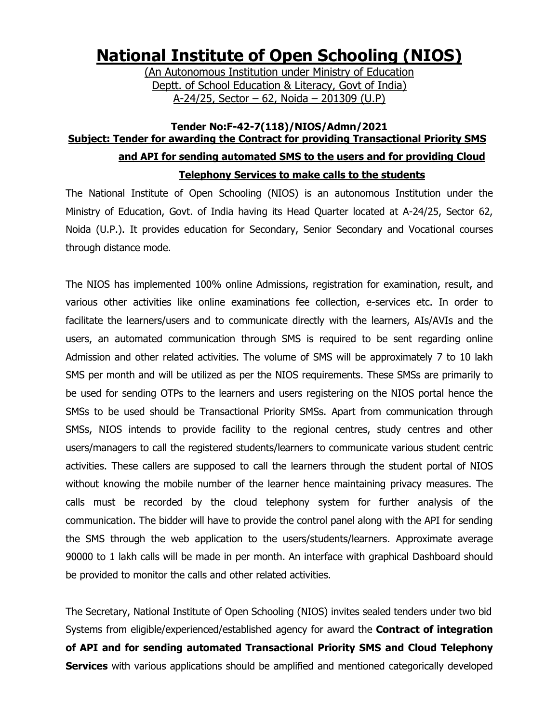# **National Institute of Open Schooling (NIOS)**

(An Autonomous Institution under Ministry of Education Deptt. of School Education & Literacy, Govt of India) A-24/25, Sector – 62, Noida – 201309 (U.P)

## **Tender No:F-42-7(118)/NIOS/Admn/2021 Subject: Tender for awarding the Contract for providing Transactional Priority SMS and API for sending automated SMS to the users and for providing Cloud Telephony Services to make calls to the students**

The National Institute of Open Schooling (NIOS) is an autonomous Institution under the Ministry of Education, Govt. of India having its Head Quarter located at A-24/25, Sector 62, Noida (U.P.). It provides education for Secondary, Senior Secondary and Vocational courses through distance mode.

The NIOS has implemented 100% online Admissions, registration for examination, result, and various other activities like online examinations fee collection, e-services etc. In order to facilitate the learners/users and to communicate directly with the learners, AIs/AVIs and the users, an automated communication through SMS is required to be sent regarding online Admission and other related activities. The volume of SMS will be approximately 7 to 10 lakh SMS per month and will be utilized as per the NIOS requirements. These SMSs are primarily to be used for sending OTPs to the learners and users registering on the NIOS portal hence the SMSs to be used should be Transactional Priority SMSs. Apart from communication through SMSs, NIOS intends to provide facility to the regional centres, study centres and other users/managers to call the registered students/learners to communicate various student centric activities. These callers are supposed to call the learners through the student portal of NIOS without knowing the mobile number of the learner hence maintaining privacy measures. The calls must be recorded by the cloud telephony system for further analysis of the communication. The bidder will have to provide the control panel along with the API for sending the SMS through the web application to the users/students/learners. Approximate average 90000 to 1 lakh calls will be made in per month. An interface with graphical Dashboard should be provided to monitor the calls and other related activities.

The Secretary, National Institute of Open Schooling (NIOS) invites sealed tenders under two bid Systems from eligible/experienced/established agency for award the **Contract of integration of API and for sending automated Transactional Priority SMS and Cloud Telephony Services** with various applications should be amplified and mentioned categorically developed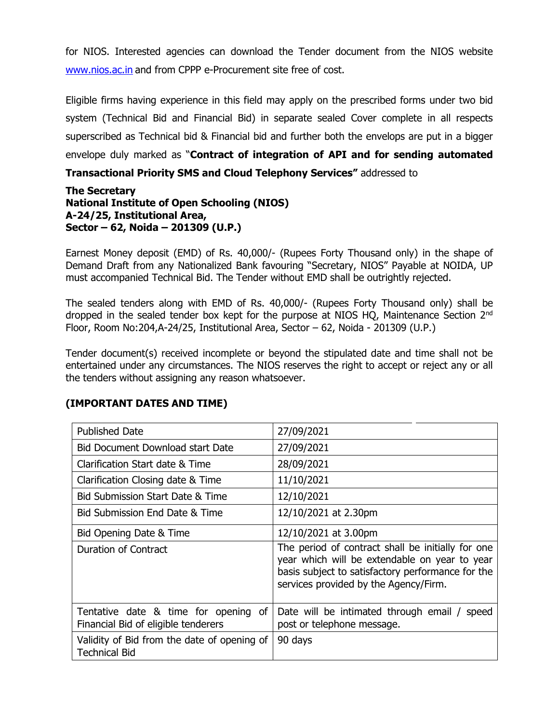for NIOS. Interested agencies can download the Tender document from the NIOS website [www.nios.ac.in](http://www.nios.ac.in/) and from CPPP e-Procurement site free of cost.

Eligible firms having experience in this field may apply on the prescribed forms under two bid system (Technical Bid and Financial Bid) in separate sealed Cover complete in all respects superscribed as Technical bid & Financial bid and further both the envelops are put in a bigger envelope duly marked as "**Contract of integration of API and for sending automated** 

#### **Transactional Priority SMS and Cloud Telephony Services"** addressed to

#### **The Secretary National Institute of Open Schooling (NIOS) A-24/25, Institutional Area, Sector – 62, Noida – 201309 (U.P.)**

Earnest Money deposit (EMD) of Rs. 40,000/- (Rupees Forty Thousand only) in the shape of Demand Draft from any Nationalized Bank favouring "Secretary, NIOS" Payable at NOIDA, UP must accompanied Technical Bid. The Tender without EMD shall be outrightly rejected.

The sealed tenders along with EMD of Rs. 40,000/- (Rupees Forty Thousand only) shall be dropped in the sealed tender box kept for the purpose at NIOS HQ, Maintenance Section 2<sup>nd</sup> Floor, Room No:204,A-24/25, Institutional Area, Sector – 62, Noida - 201309 (U.P.)

Tender document(s) received incomplete or beyond the stipulated date and time shall not be entertained under any circumstances. The NIOS reserves the right to accept or reject any or all the tenders without assigning any reason whatsoever.

| <b>Published Date</b>                                                       | 27/09/2021                                                                                                                                                                                       |
|-----------------------------------------------------------------------------|--------------------------------------------------------------------------------------------------------------------------------------------------------------------------------------------------|
| <b>Bid Document Download start Date</b>                                     | 27/09/2021                                                                                                                                                                                       |
| Clarification Start date & Time                                             | 28/09/2021                                                                                                                                                                                       |
| Clarification Closing date & Time                                           | 11/10/2021                                                                                                                                                                                       |
| Bid Submission Start Date & Time                                            | 12/10/2021                                                                                                                                                                                       |
| Bid Submission End Date & Time                                              | 12/10/2021 at 2.30pm                                                                                                                                                                             |
| Bid Opening Date & Time                                                     | 12/10/2021 at 3.00pm                                                                                                                                                                             |
| Duration of Contract                                                        | The period of contract shall be initially for one<br>year which will be extendable on year to year<br>basis subject to satisfactory performance for the<br>services provided by the Agency/Firm. |
| Tentative date & time for opening of<br>Financial Bid of eligible tenderers | Date will be intimated through email / speed<br>post or telephone message.                                                                                                                       |
| Validity of Bid from the date of opening of<br><b>Technical Bid</b>         | 90 days                                                                                                                                                                                          |

#### **(IMPORTANT DATES AND TIME)**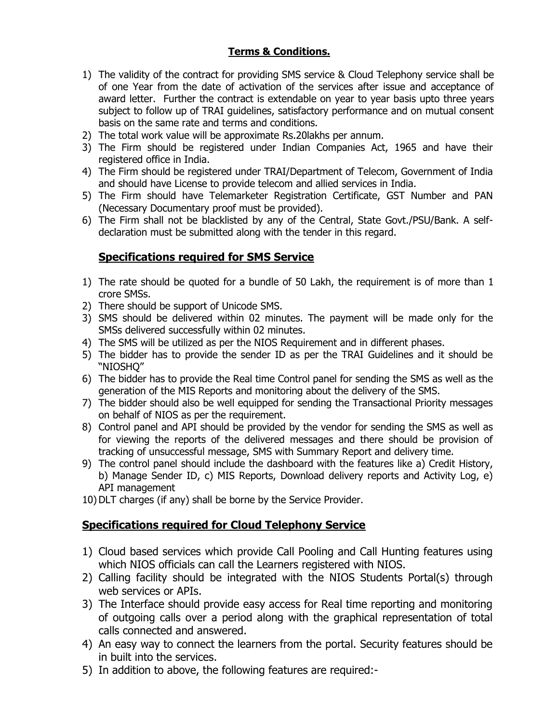## **Terms & Conditions.**

- 1) The validity of the contract for providing SMS service & Cloud Telephony service shall be of one Year from the date of activation of the services after issue and acceptance of award letter. Further the contract is extendable on year to year basis upto three years subject to follow up of TRAI guidelines, satisfactory performance and on mutual consent basis on the same rate and terms and conditions.
- 2) The total work value will be approximate Rs.20lakhs per annum.
- 3) The Firm should be registered under Indian Companies Act, 1965 and have their registered office in India.
- 4) The Firm should be registered under TRAI/Department of Telecom, Government of India and should have License to provide telecom and allied services in India.
- 5) The Firm should have Telemarketer Registration Certificate, GST Number and PAN (Necessary Documentary proof must be provided).
- 6) The Firm shall not be blacklisted by any of the Central, State Govt./PSU/Bank. A selfdeclaration must be submitted along with the tender in this regard.

## **Specifications required for SMS Service**

- 1) The rate should be quoted for a bundle of 50 Lakh, the requirement is of more than 1 crore SMSs.
- 2) There should be support of Unicode SMS.
- 3) SMS should be delivered within 02 minutes. The payment will be made only for the SMSs delivered successfully within 02 minutes.
- 4) The SMS will be utilized as per the NIOS Requirement and in different phases.
- 5) The bidder has to provide the sender ID as per the TRAI Guidelines and it should be "NIOSHQ"
- 6) The bidder has to provide the Real time Control panel for sending the SMS as well as the generation of the MIS Reports and monitoring about the delivery of the SMS.
- 7) The bidder should also be well equipped for sending the Transactional Priority messages on behalf of NIOS as per the requirement.
- 8) Control panel and API should be provided by the vendor for sending the SMS as well as for viewing the reports of the delivered messages and there should be provision of tracking of unsuccessful message, SMS with Summary Report and delivery time.
- 9) The control panel should include the dashboard with the features like a) Credit History, b) Manage Sender ID, c) MIS Reports, Download delivery reports and Activity Log, e) API management
- 10) DLT charges (if any) shall be borne by the Service Provider.

## **Specifications required for Cloud Telephony Service**

- 1) Cloud based services which provide Call Pooling and Call Hunting features using which NIOS officials can call the Learners registered with NIOS.
- 2) Calling facility should be integrated with the NIOS Students Portal(s) through web services or APIs.
- 3) The Interface should provide easy access for Real time reporting and monitoring of outgoing calls over a period along with the graphical representation of total calls connected and answered.
- 4) An easy way to connect the learners from the portal. Security features should be in built into the services.
- 5) In addition to above, the following features are required:-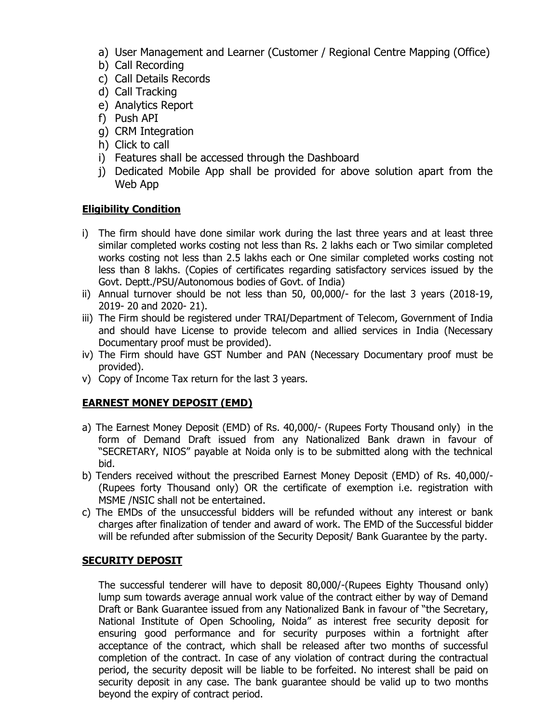- a) User Management and Learner (Customer / Regional Centre Mapping (Office)
- b) Call Recording
- c) Call Details Records
- d) Call Tracking
- e) Analytics Report
- f) Push API
- g) CRM Integration
- h) Click to call
- i) Features shall be accessed through the Dashboard
- j) Dedicated Mobile App shall be provided for above solution apart from the Web App

#### **Eligibility Condition**

- i) The firm should have done similar work during the last three years and at least three similar completed works costing not less than Rs. 2 lakhs each or Two similar completed works costing not less than 2.5 lakhs each or One similar completed works costing not less than 8 lakhs. (Copies of certificates regarding satisfactory services issued by the Govt. Deptt./PSU/Autonomous bodies of Govt. of India)
- ii) Annual turnover should be not less than 50, 00,000/- for the last 3 years (2018-19, 2019- 20 and 2020- 21).
- iii) The Firm should be registered under TRAI/Department of Telecom, Government of India and should have License to provide telecom and allied services in India (Necessary Documentary proof must be provided).
- iv) The Firm should have GST Number and PAN (Necessary Documentary proof must be provided).
- v) Copy of Income Tax return for the last 3 years.

#### **EARNEST MONEY DEPOSIT (EMD)**

- a) The Earnest Money Deposit (EMD) of Rs. 40,000/- (Rupees Forty Thousand only) in the form of Demand Draft issued from any Nationalized Bank drawn in favour of "SECRETARY, NIOS" payable at Noida only is to be submitted along with the technical bid.
- b) Tenders received without the prescribed Earnest Money Deposit (EMD) of Rs. 40,000/- (Rupees forty Thousand only) OR the certificate of exemption i.e. registration with MSME /NSIC shall not be entertained.
- c) The EMDs of the unsuccessful bidders will be refunded without any interest or bank charges after finalization of tender and award of work. The EMD of the Successful bidder will be refunded after submission of the Security Deposit/ Bank Guarantee by the party.

#### **SECURITY DEPOSIT**

The successful tenderer will have to deposit 80,000/-(Rupees Eighty Thousand only) lump sum towards average annual work value of the contract either by way of Demand Draft or Bank Guarantee issued from any Nationalized Bank in favour of "the Secretary, National Institute of Open Schooling, Noida" as interest free security deposit for ensuring good performance and for security purposes within a fortnight after acceptance of the contract, which shall be released after two months of successful completion of the contract. In case of any violation of contract during the contractual period, the security deposit will be liable to be forfeited. No interest shall be paid on security deposit in any case. The bank guarantee should be valid up to two months beyond the expiry of contract period.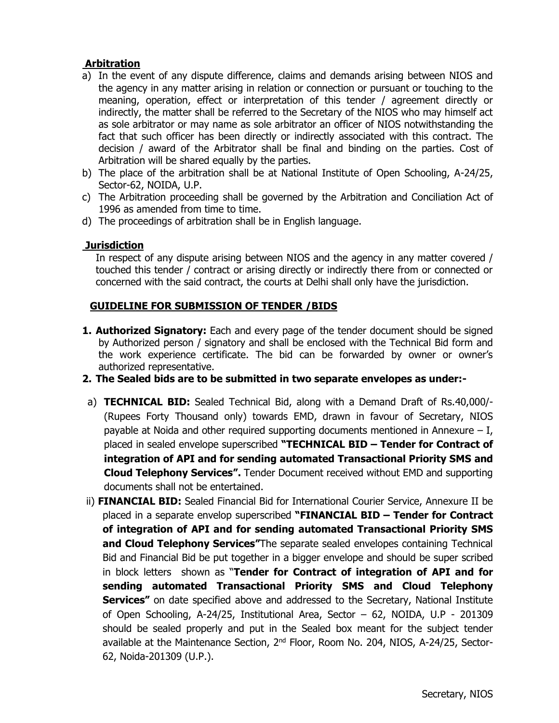#### **Arbitration**

- a) In the event of any dispute difference, claims and demands arising between NIOS and the agency in any matter arising in relation or connection or pursuant or touching to the meaning, operation, effect or interpretation of this tender / agreement directly or indirectly, the matter shall be referred to the Secretary of the NIOS who may himself act as sole arbitrator or may name as sole arbitrator an officer of NIOS notwithstanding the fact that such officer has been directly or indirectly associated with this contract. The decision / award of the Arbitrator shall be final and binding on the parties. Cost of Arbitration will be shared equally by the parties.
- b) The place of the arbitration shall be at National Institute of Open Schooling, A-24/25, Sector-62, NOIDA, U.P.
- c) The Arbitration proceeding shall be governed by the Arbitration and Conciliation Act of 1996 as amended from time to time.
- d) The proceedings of arbitration shall be in English language.

#### **Jurisdiction**

In respect of any dispute arising between NIOS and the agency in any matter covered / touched this tender / contract or arising directly or indirectly there from or connected or concerned with the said contract, the courts at Delhi shall only have the jurisdiction.

#### **GUIDELINE FOR SUBMISSION OF TENDER /BIDS**

- **1. Authorized Signatory:** Each and every page of the tender document should be signed by Authorized person / signatory and shall be enclosed with the Technical Bid form and the work experience certificate. The bid can be forwarded by owner or owner's authorized representative.
- **2. The Sealed bids are to be submitted in two separate envelopes as under:-**
- a) **TECHNICAL BID:** Sealed Technical Bid, along with a Demand Draft of Rs.40,000/- (Rupees Forty Thousand only) towards EMD, drawn in favour of Secretary, NIOS payable at Noida and other required supporting documents mentioned in Annexure  $- I$ , placed in sealed envelope superscribed **"TECHNICAL BID – Tender for Contract of integration of API and for sending automated Transactional Priority SMS and Cloud Telephony Services".** Tender Document received without EMD and supporting documents shall not be entertained.
- ii) **FINANCIAL BID:** Sealed Financial Bid for International Courier Service, Annexure II be placed in a separate envelop superscribed **"FINANCIAL BID – Tender for Contract of integration of API and for sending automated Transactional Priority SMS and Cloud Telephony Services"**The separate sealed envelopes containing Technical Bid and Financial Bid be put together in a bigger envelope and should be super scribed in block letters shown as "**Tender for Contract of integration of API and for sending automated Transactional Priority SMS and Cloud Telephony Services"** on date specified above and addressed to the Secretary, National Institute of Open Schooling, A-24/25, Institutional Area, Sector – 62, NOIDA, U.P - 201309 should be sealed properly and put in the Sealed box meant for the subject tender available at the Maintenance Section, 2nd Floor, Room No. 204, NIOS, A-24/25, Sector-62, Noida-201309 (U.P.).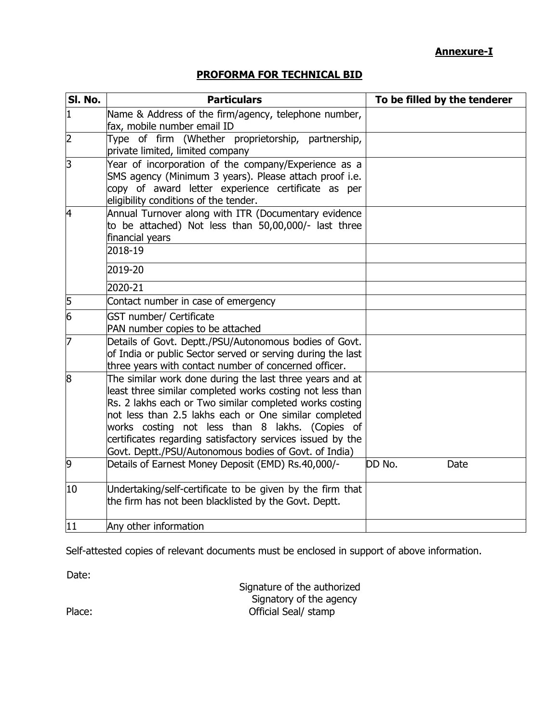## **Annexure-I**

## **PROFORMA FOR TECHNICAL BID**

| SI. No.        | <b>Particulars</b>                                                                                                                                                                                                                                                                                                                                                                                                  | To be filled by the tenderer |  |  |  |  |
|----------------|---------------------------------------------------------------------------------------------------------------------------------------------------------------------------------------------------------------------------------------------------------------------------------------------------------------------------------------------------------------------------------------------------------------------|------------------------------|--|--|--|--|
| $\mathbf{1}$   | Name & Address of the firm/agency, telephone number,<br>fax, mobile number email ID                                                                                                                                                                                                                                                                                                                                 |                              |  |  |  |  |
| $\overline{2}$ | Type of firm (Whether proprietorship, partnership,<br>private limited, limited company                                                                                                                                                                                                                                                                                                                              |                              |  |  |  |  |
| 3              | Year of incorporation of the company/Experience as a<br>SMS agency (Minimum 3 years). Please attach proof i.e.<br>copy of award letter experience certificate as per<br>eligibility conditions of the tender.                                                                                                                                                                                                       |                              |  |  |  |  |
| 4              | Annual Turnover along with ITR (Documentary evidence<br>to be attached) Not less than 50,00,000/- last three<br>financial years<br>2018-19                                                                                                                                                                                                                                                                          |                              |  |  |  |  |
|                | 2019-20                                                                                                                                                                                                                                                                                                                                                                                                             |                              |  |  |  |  |
|                | 2020-21                                                                                                                                                                                                                                                                                                                                                                                                             |                              |  |  |  |  |
| 5              | Contact number in case of emergency                                                                                                                                                                                                                                                                                                                                                                                 |                              |  |  |  |  |
| 6              | <b>GST number/ Certificate</b><br>PAN number copies to be attached                                                                                                                                                                                                                                                                                                                                                  |                              |  |  |  |  |
| 7              | Details of Govt. Deptt./PSU/Autonomous bodies of Govt.<br>of India or public Sector served or serving during the last<br>three years with contact number of concerned officer.                                                                                                                                                                                                                                      |                              |  |  |  |  |
| 8              | The similar work done during the last three years and at<br>least three similar completed works costing not less than<br>Rs. 2 lakhs each or Two similar completed works costing<br>not less than 2.5 lakhs each or One similar completed<br>works costing not less than 8 lakhs. (Copies of<br>certificates regarding satisfactory services issued by the<br>Govt. Deptt./PSU/Autonomous bodies of Govt. of India) |                              |  |  |  |  |
| 9              | Details of Earnest Money Deposit (EMD) Rs.40,000/-                                                                                                                                                                                                                                                                                                                                                                  | DD No.<br>Date               |  |  |  |  |
| 10             | Undertaking/self-certificate to be given by the firm that<br>the firm has not been blacklisted by the Govt. Deptt.                                                                                                                                                                                                                                                                                                  |                              |  |  |  |  |
| 11             | Any other information                                                                                                                                                                                                                                                                                                                                                                                               |                              |  |  |  |  |

Self-attested copies of relevant documents must be enclosed in support of above information.

Date:

|        | Signature of the authorized |
|--------|-----------------------------|
|        | Signatory of the agency     |
| Place: | Official Seal/ stamp        |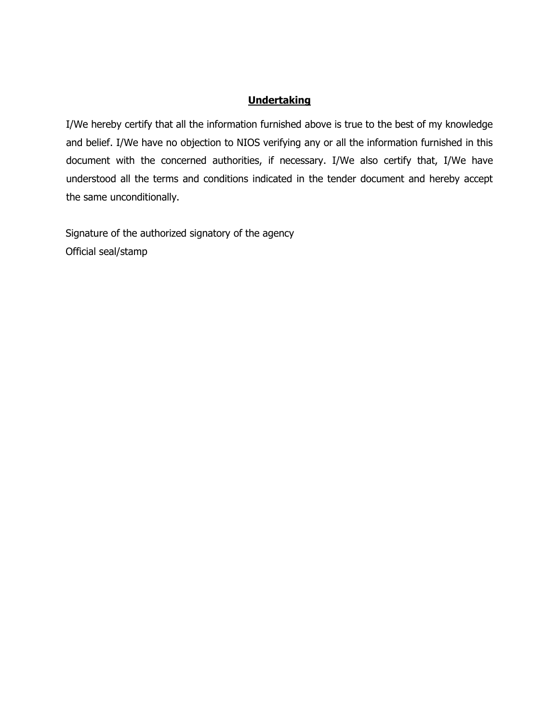## **Undertaking**

I/We hereby certify that all the information furnished above is true to the best of my knowledge and belief. I/We have no objection to NIOS verifying any or all the information furnished in this document with the concerned authorities, if necessary. I/We also certify that, I/We have understood all the terms and conditions indicated in the tender document and hereby accept the same unconditionally.

Signature of the authorized signatory of the agency Official seal/stamp